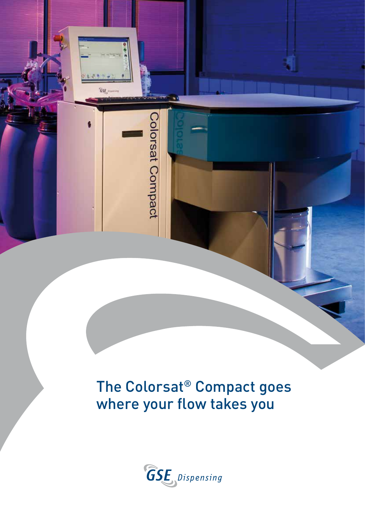The Colorsat® Compact goes where your flow takes you

 $65E$ 

Colorsat Compact

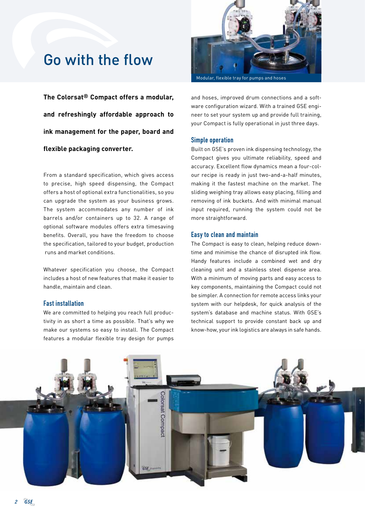## Go with the flow

**The Colorsat® Compact offers a modular, and refreshingly affordable approach to ink management for the paper, board and flexible packaging converter.**

From a standard specification, which gives access to precise, high speed dispensing, the Compact offers a host of optional extra functionalities, so you can upgrade the system as your business grows. The system accommodates any number of ink barrels and/or containers up to 32. A range of optional software modules offers extra timesaving benefits. Overall, you have the freedom to choose the specification, tailored to your budget, production runs and market conditions.

Whatever specification you choose, the Compact includes a host of new features that make it easier to handle, maintain and clean.

## Fast installation

We are committed to helping you reach full productivity in as short a time as possible. That's why we make our systems so easy to install. The Compact features a modular flexible tray design for pumps



Modular, flexible tray for pumps and hoses

and hoses, improved drum connections and a software configuration wizard. With a trained GSE engineer to set your system up and provide full training, your Compact is fully operational in just three days.

#### Simple operation

Built on GSE's proven ink dispensing technology, the Compact gives you ultimate reliability, speed and accuracy. Excellent flow dynamics mean a four-colour recipe is ready in just two-and-a-half minutes, making it the fastest machine on the market. The sliding weighing tray allows easy placing, filling and removing of ink buckets. And with minimal manual input required, running the system could not be more straightforward.

#### Easy to clean and maintain

The Compact is easy to clean, helping reduce downtime and minimise the chance of disrupted ink flow. Handy features include a combined wet and dry cleaning unit and a stainless steel dispense area. With a minimum of moving parts and easy access to key components, maintaining the Compact could not be simpler. A connection for remote access links your system with our helpdesk, for quick analysis of the system's database and machine status. With GSE's technical support to provide constant back up and know-how, your ink logistics are always in safe hands.

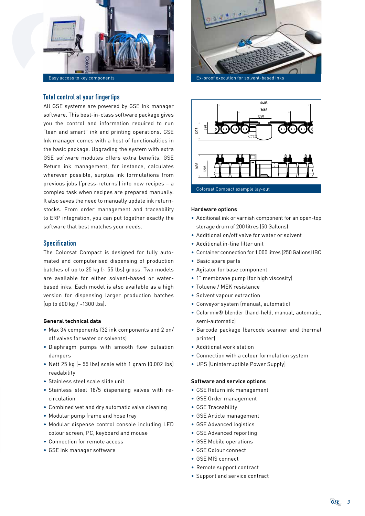

## Total control at your fingertips

All GSE systems are powered by GSE Ink manager software. This best-in-class software package gives you the control and information required to run "lean and smart" ink and printing operations. GSE Ink manager comes with a host of functionalities in the basic package. Upgrading the system with extra GSE software modules offers extra benefits. GSE Return ink management, for instance, calculates wherever possible, surplus ink formulations from previous jobs ('press-returns') into new recipes – a complex task when recipes are prepared manually. It also saves the need to manually update ink returnstocks. From order management and traceability to ERP integration, you can put together exactly the software that best matches your needs.

## Specification

The Colorsat Compact is designed for fully automated and computerised dispensing of production batches of up to 25 kg (~ 55 lbs) gross. Two models are available for either solvent-based or waterbased inks. Each model is also available as a high version for dispensing larger production batches (up to 600 kg / ~1300 lbs).

#### **General technical data**

- Max 34 components (32 ink components and 2 on/ off valves for water or solvents)
- Diaphragm pumps with smooth flow pulsation dampers
- Nett 25 kg (~ 55 lbs) scale with 1 gram (0.002 lbs) readability
- Stainless steel scale slide unit
- Stainless steel 18/5 dispensing valves with recirculation
- Combined wet and dry automatic valve cleaning
- Modular pump frame and hose tray
- Modular dispense control console including LED colour screen, PC, keyboard and mouse
- Connection for remote access
- GSE Ink manager software





#### **Hardware options**

- Additional ink or varnish component for an open-top storage drum of 200 litres (50 Gallons)
- Additional on/off valve for water or solvent
- Additional in-line filter unit
- Container connection for 1.000 litres (250 Gallons) IBC
- Basic spare parts
- Agitator for base component
- 1" membrane pump (for high viscosity)
- Toluene / MEK resistance
- Solvent vapour extraction
- Conveyor system (manual, automatic)
- Colormix® blender (hand-held, manual, automatic, semi-automatic)
- Barcode package (barcode scanner and thermal printer)
- Additional work station
- Connection with a colour formulation system
- UPS (Uninterruptible Power Supply)

#### **Software and service options**

- GSE Return ink management
- GSE Order management
- GSE Traceability
- GSE Article management
- GSE Advanced logistics
- GSE Advanced reporting
- GSE Mobile operations
- GSE Colour connect
- GSE MIS connect
- Remote support contract
- Support and service contract